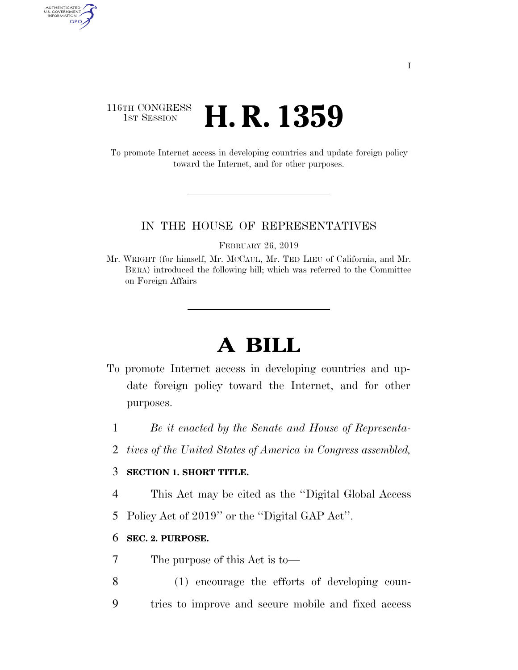# 116TH CONGRESS **1st Session H. R. 1359**

AUTHENTICATED<br>U.S. GOVERNMENT<br>INFORMATION GPO

> To promote Internet access in developing countries and update foreign policy toward the Internet, and for other purposes.

#### IN THE HOUSE OF REPRESENTATIVES

FEBRUARY 26, 2019

Mr. WRIGHT (for himself, Mr. MCCAUL, Mr. TED LIEU of California, and Mr. BERA) introduced the following bill; which was referred to the Committee on Foreign Affairs

# **A BILL**

- To promote Internet access in developing countries and update foreign policy toward the Internet, and for other purposes.
	- 1 *Be it enacted by the Senate and House of Representa-*
	- 2 *tives of the United States of America in Congress assembled,*

# 3 **SECTION 1. SHORT TITLE.**

- 4 This Act may be cited as the ''Digital Global Access
- 5 Policy Act of 2019'' or the ''Digital GAP Act''.

#### 6 **SEC. 2. PURPOSE.**

- 7 The purpose of this Act is to—
- 8 (1) encourage the efforts of developing coun-9 tries to improve and secure mobile and fixed access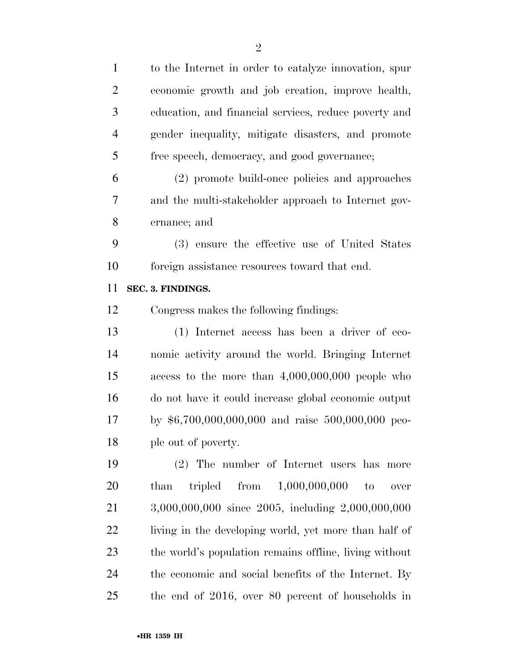| $\overline{2}$ | economic growth and job creation, improve health,              |
|----------------|----------------------------------------------------------------|
| 3              | education, and financial services, reduce poverty and          |
| $\overline{4}$ | gender inequality, mitigate disasters, and promote             |
| 5              | free speech, democracy, and good governance;                   |
| 6              | (2) promote build-once policies and approaches                 |
| 7              | and the multi-stakeholder approach to Internet gov-            |
| 8              | ernance; and                                                   |
| 9              | (3) ensure the effective use of United States                  |
| 10             | foreign assistance resources toward that end.                  |
| 11             | SEC. 3. FINDINGS.                                              |
| 12             | Congress makes the following findings:                         |
| 13             | (1) Internet access has been a driver of eco-                  |
| 14             | nomic activity around the world. Bringing Internet             |
| 15             | access to the more than $4,000,000,000$ people who             |
| 16             | do not have it could increase global economic output           |
| 17             | by \$6,700,000,000,000 and raise 500,000,000 peo-              |
| 18             | ple out of poverty.                                            |
| 19             | (2) The number of Internet users has more                      |
| 20             | tripled from $1,000,000,000$<br>than<br>$\mathbf{t}$<br>$over$ |
| 21             | 3,000,000,000 since 2005, including 2,000,000,000              |
| 22             | living in the developing world, yet more than half of          |
| 23             | the world's population remains offline, living without         |
| 24             | the economic and social benefits of the Internet. By           |
| 25             | the end of 2016, over 80 percent of households in              |

to the Internet in order to catalyze innovation, spur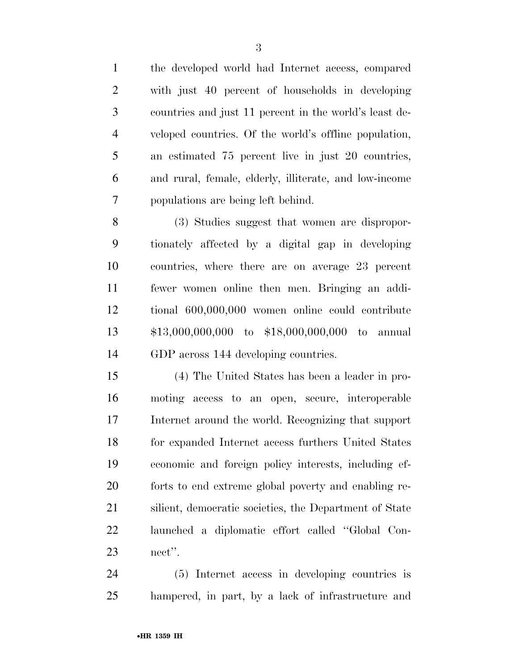the developed world had Internet access, compared with just 40 percent of households in developing countries and just 11 percent in the world's least de- veloped countries. Of the world's offline population, an estimated 75 percent live in just 20 countries, and rural, female, elderly, illiterate, and low-income populations are being left behind.

 (3) Studies suggest that women are dispropor- tionately affected by a digital gap in developing countries, where there are on average 23 percent fewer women online then men. Bringing an addi- tional 600,000,000 women online could contribute \$13,000,000,000 to \$18,000,000,000 to annual GDP across 144 developing countries.

 (4) The United States has been a leader in pro- moting access to an open, secure, interoperable Internet around the world. Recognizing that support for expanded Internet access furthers United States economic and foreign policy interests, including ef- forts to end extreme global poverty and enabling re- silient, democratic societies, the Department of State launched a diplomatic effort called ''Global Con-nect''.

 (5) Internet access in developing countries is hampered, in part, by a lack of infrastructure and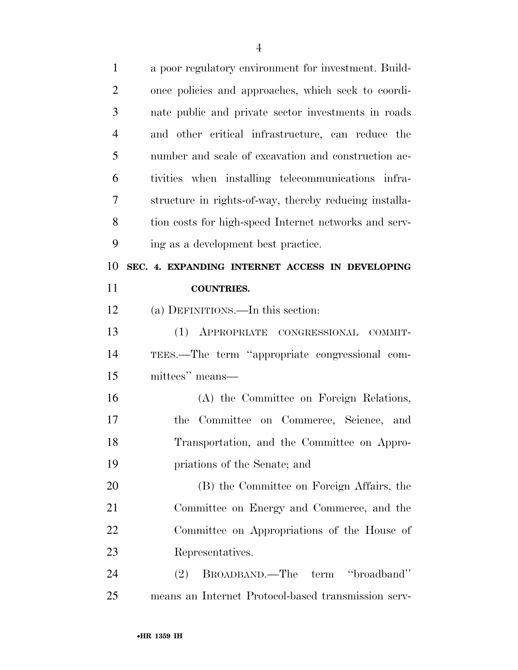| $\mathbf{1}$   | a poor regulatory environment for investment. Build-   |
|----------------|--------------------------------------------------------|
| $\overline{2}$ | once policies and approaches, which seek to coordi-    |
| 3              | nate public and private sector investments in roads    |
| $\overline{4}$ | and other critical infrastructure, can reduce the      |
| 5              | number and scale of excavation and construction ac-    |
| 6              | tivities when installing telecommunications infra-     |
| 7              | structure in rights-of-way, thereby reducing installa- |
| 8              | tion costs for high-speed Internet networks and serv-  |
| 9              | ing as a development best practice.                    |
| 10             | SEC. 4. EXPANDING INTERNET ACCESS IN DEVELOPING        |
| 11             | <b>COUNTRIES.</b>                                      |
| 12             | (a) DEFINITIONS.—In this section:                      |
| 13             | (1) APPROPRIATE CONGRESSIONAL COMMIT-                  |
| 14             | TEES.—The term "appropriate congressional com-         |
| 15             | mittees" means—                                        |
| 16             | (A) the Committee on Foreign Relations,                |
| 17             | Committee on Commerce, Science,<br>the<br>and          |
| 18             | Transportation, and the Committee on Appro-            |
| 19             | priations of the Senate; and                           |
| 20             | (B) the Committee on Foreign Affairs, the              |
| 21             | Committee on Energy and Commerce, and the              |
| 22             | Committee on Appropriations of the House of            |
| 23             | Representatives.                                       |
| 24             | BROADBAND.—The term "broadband"<br>(2)                 |
| 25             | means an Internet Protocol-based transmission serv-    |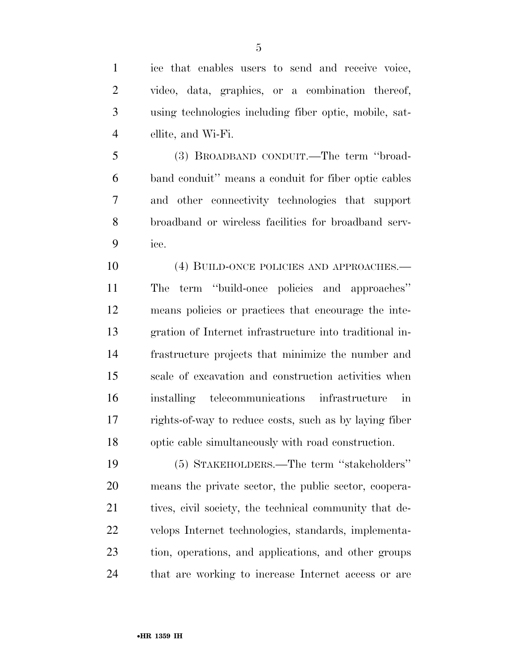ice that enables users to send and receive voice, video, data, graphics, or a combination thereof, using technologies including fiber optic, mobile, sat-ellite, and Wi-Fi.

 (3) BROADBAND CONDUIT.—The term ''broad- band conduit'' means a conduit for fiber optic cables and other connectivity technologies that support broadband or wireless facilities for broadband serv-ice.

10 (4) BUILD-ONCE POLICIES AND APPROACHES.— The term ''build-once policies and approaches'' means policies or practices that encourage the inte- gration of Internet infrastructure into traditional in- frastructure projects that minimize the number and scale of excavation and construction activities when installing telecommunications infrastructure in rights-of-way to reduce costs, such as by laying fiber optic cable simultaneously with road construction.

 (5) STAKEHOLDERS.—The term ''stakeholders'' means the private sector, the public sector, coopera-21 tives, civil society, the technical community that de- velops Internet technologies, standards, implementa- tion, operations, and applications, and other groups that are working to increase Internet access or are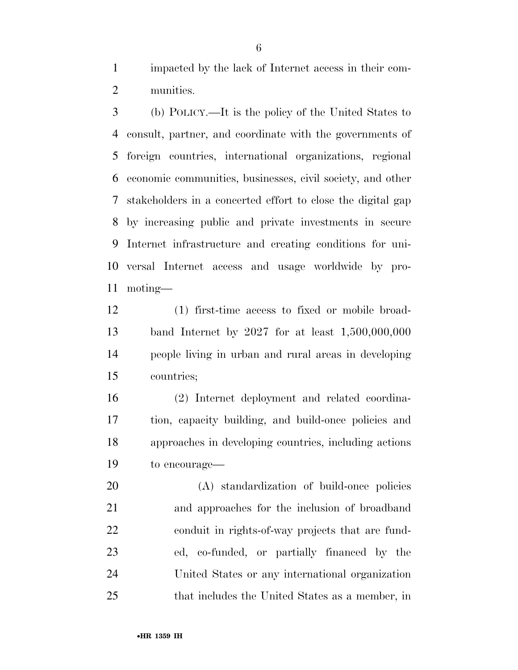impacted by the lack of Internet access in their com-munities.

 (b) POLICY.—It is the policy of the United States to consult, partner, and coordinate with the governments of foreign countries, international organizations, regional economic communities, businesses, civil society, and other stakeholders in a concerted effort to close the digital gap by increasing public and private investments in secure Internet infrastructure and creating conditions for uni- versal Internet access and usage worldwide by pro-moting—

 (1) first-time access to fixed or mobile broad- band Internet by 2027 for at least 1,500,000,000 people living in urban and rural areas in developing countries;

 (2) Internet deployment and related coordina- tion, capacity building, and build-once policies and approaches in developing countries, including actions to encourage—

 (A) standardization of build-once policies and approaches for the inclusion of broadband conduit in rights-of-way projects that are fund- ed, co-funded, or partially financed by the United States or any international organization that includes the United States as a member, in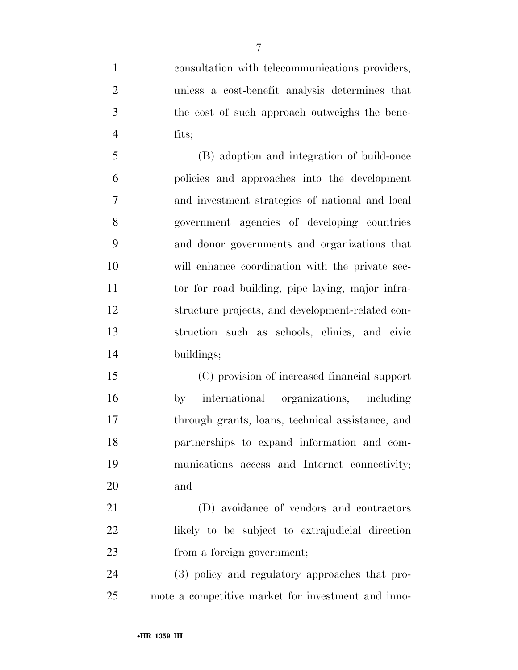consultation with telecommunications providers, unless a cost-benefit analysis determines that the cost of such approach outweighs the bene-fits;

 (B) adoption and integration of build-once policies and approaches into the development and investment strategies of national and local government agencies of developing countries and donor governments and organizations that will enhance coordination with the private sec-11 to the road building, pipe laying, major infra- structure projects, and development-related con- struction such as schools, clinics, and civic buildings;

 (C) provision of increased financial support by international organizations, including through grants, loans, technical assistance, and partnerships to expand information and com- munications access and Internet connectivity; and

 (D) avoidance of vendors and contractors likely to be subject to extrajudicial direction from a foreign government;

 (3) policy and regulatory approaches that pro-mote a competitive market for investment and inno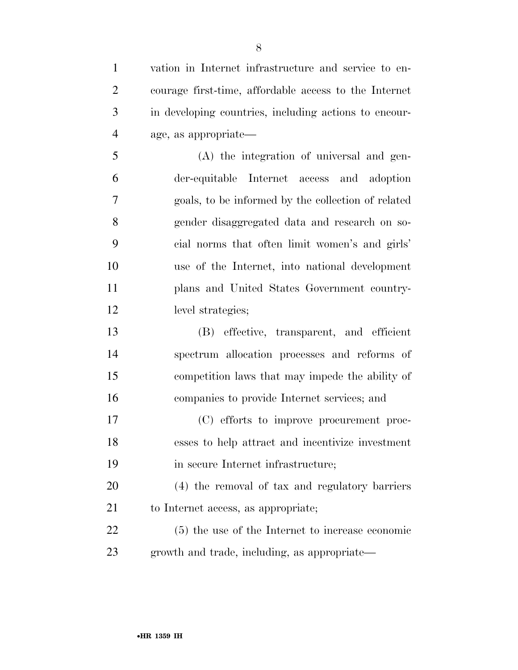vation in Internet infrastructure and service to en- courage first-time, affordable access to the Internet in developing countries, including actions to encour- age, as appropriate— (A) the integration of universal and gen-der-equitable Internet access and adoption

 goals, to be informed by the collection of related gender disaggregated data and research on so- cial norms that often limit women's and girls' use of the Internet, into national development plans and United States Government country-level strategies;

 (B) effective, transparent, and efficient spectrum allocation processes and reforms of competition laws that may impede the ability of companies to provide Internet services; and

 (C) efforts to improve procurement proc- esses to help attract and incentivize investment 19 in secure Internet infrastructure;

 (4) the removal of tax and regulatory barriers to Internet access, as appropriate;

 (5) the use of the Internet to increase economic growth and trade, including, as appropriate—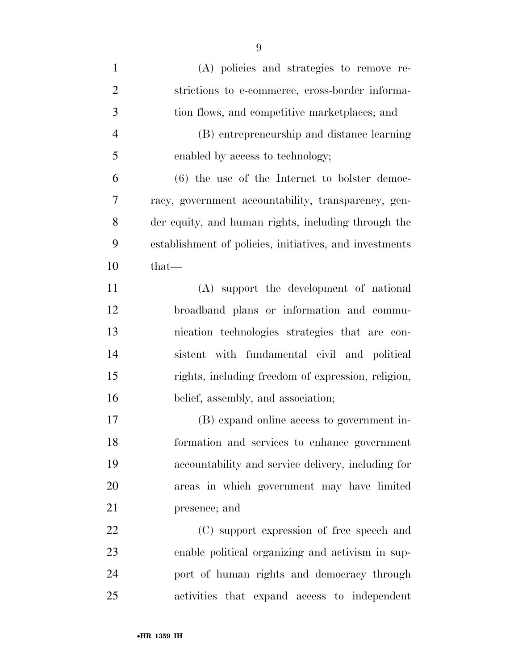| $\mathbf{1}$   | (A) policies and strategies to remove re-               |
|----------------|---------------------------------------------------------|
| $\overline{2}$ | strictions to e-commerce, cross-border informa-         |
| 3              | tion flows, and competitive marketplaces; and           |
| $\overline{4}$ | (B) entrepreneurship and distance learning              |
| 5              | enabled by access to technology;                        |
| 6              | $(6)$ the use of the Internet to bolster democ-         |
| 7              | racy, government accountability, transparency, gen-     |
| 8              | der equity, and human rights, including through the     |
| 9              | establishment of policies, initiatives, and investments |
| 10             | that-                                                   |
| 11             | (A) support the development of national                 |
| 12             | broadband plans or information and commu-               |
| 13             | nication technologies strategies that are con-          |
| 14             | sistent with fundamental civil and political            |
| 15             | rights, including freedom of expression, religion,      |
| 16             | belief, assembly, and association;                      |
| 17             | (B) expand online access to government in-              |
| 18             | formation and services to enhance government            |
| 19             | accountability and service delivery, including for      |
| 20             | areas in which government may have limited              |
| 21             | presence; and                                           |
| 22             | (C) support expression of free speech and               |
| 23             | enable political organizing and activism in sup-        |
| 24             | port of human rights and democracy through              |
| 25             | activities that expand access to independent            |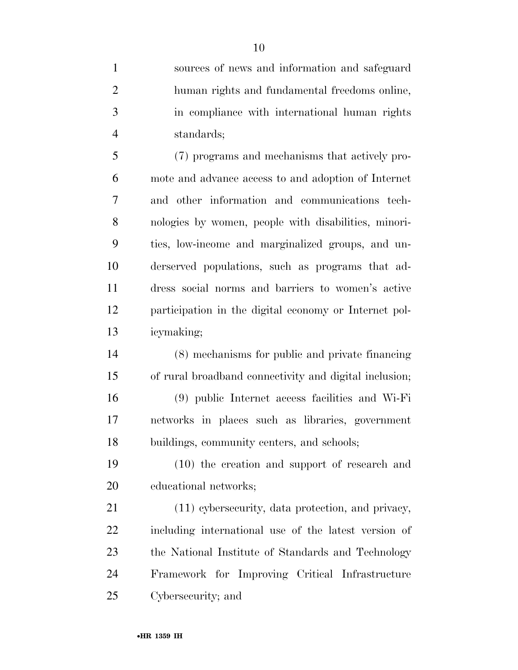sources of news and information and safeguard human rights and fundamental freedoms online, in compliance with international human rights standards;

 (7) programs and mechanisms that actively pro- mote and advance access to and adoption of Internet and other information and communications tech- nologies by women, people with disabilities, minori- ties, low-income and marginalized groups, and un- derserved populations, such as programs that ad- dress social norms and barriers to women's active participation in the digital economy or Internet pol-icymaking;

 (8) mechanisms for public and private financing of rural broadband connectivity and digital inclusion; (9) public Internet access facilities and Wi-Fi networks in places such as libraries, government buildings, community centers, and schools;

 (10) the creation and support of research and educational networks;

 (11) cybersecurity, data protection, and privacy, including international use of the latest version of the National Institute of Standards and Technology Framework for Improving Critical Infrastructure Cybersecurity; and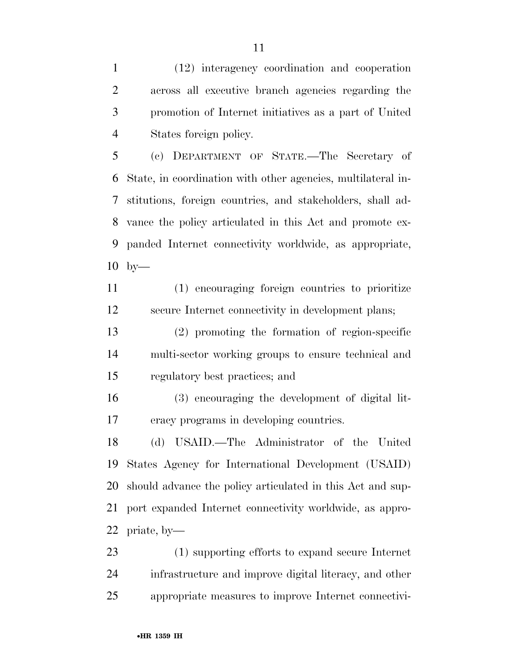(12) interagency coordination and cooperation across all executive branch agencies regarding the promotion of Internet initiatives as a part of United States foreign policy.

 (c) DEPARTMENT OF STATE.—The Secretary of State, in coordination with other agencies, multilateral in- stitutions, foreign countries, and stakeholders, shall ad- vance the policy articulated in this Act and promote ex- panded Internet connectivity worldwide, as appropriate, by—

 (1) encouraging foreign countries to prioritize secure Internet connectivity in development plans;

 (2) promoting the formation of region-specific multi-sector working groups to ensure technical and regulatory best practices; and

 (3) encouraging the development of digital lit-eracy programs in developing countries.

 (d) USAID.—The Administrator of the United States Agency for International Development (USAID) should advance the policy articulated in this Act and sup- port expanded Internet connectivity worldwide, as appro-priate, by—

 (1) supporting efforts to expand secure Internet infrastructure and improve digital literacy, and other appropriate measures to improve Internet connectivi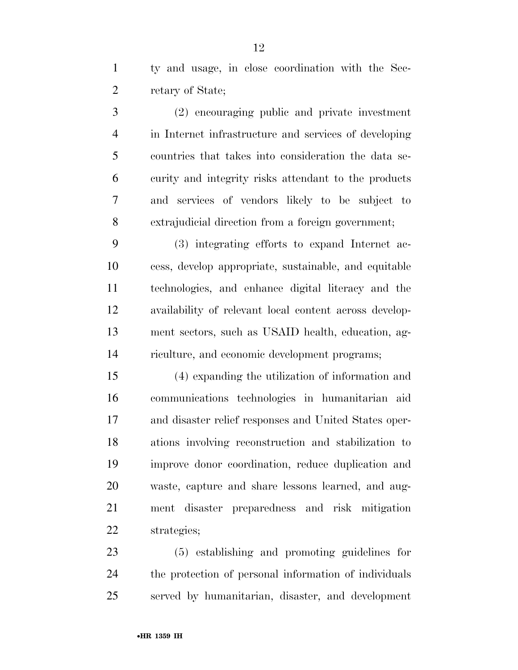ty and usage, in close coordination with the Sec-retary of State;

 (2) encouraging public and private investment in Internet infrastructure and services of developing countries that takes into consideration the data se- curity and integrity risks attendant to the products and services of vendors likely to be subject to extrajudicial direction from a foreign government;

 (3) integrating efforts to expand Internet ac- cess, develop appropriate, sustainable, and equitable technologies, and enhance digital literacy and the availability of relevant local content across develop- ment sectors, such as USAID health, education, ag-riculture, and economic development programs;

 (4) expanding the utilization of information and communications technologies in humanitarian aid and disaster relief responses and United States oper- ations involving reconstruction and stabilization to improve donor coordination, reduce duplication and waste, capture and share lessons learned, and aug- ment disaster preparedness and risk mitigation strategies;

 (5) establishing and promoting guidelines for the protection of personal information of individuals served by humanitarian, disaster, and development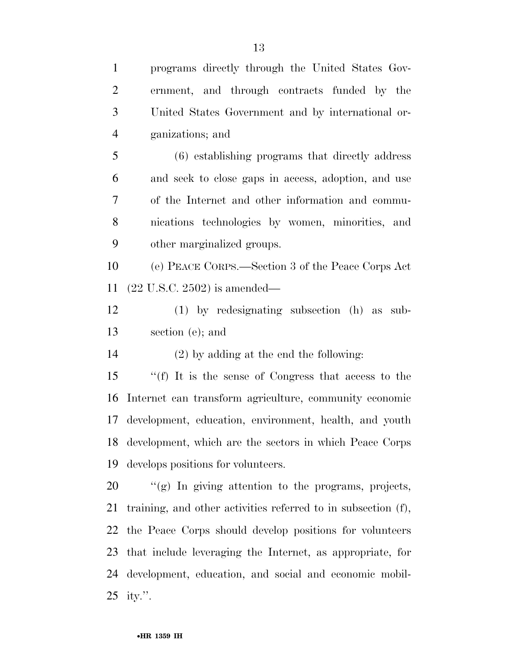programs directly through the United States Gov-

 ernment, and through contracts funded by the United States Government and by international or- ganizations; and (6) establishing programs that directly address and seek to close gaps in access, adoption, and use of the Internet and other information and commu- nications technologies by women, minorities, and other marginalized groups. (e) PEACE CORPS.—Section 3 of the Peace Corps Act (22 U.S.C. 2502) is amended— (1) by redesignating subsection (h) as sub- section (e); and (2) by adding at the end the following: ''(f) It is the sense of Congress that access to the Internet can transform agriculture, community economic development, education, environment, health, and youth development, which are the sectors in which Peace Corps develops positions for volunteers. ''(g) In giving attention to the programs, projects, training, and other activities referred to in subsection (f), the Peace Corps should develop positions for volunteers that include leveraging the Internet, as appropriate, for development, education, and social and economic mobil-ity.''.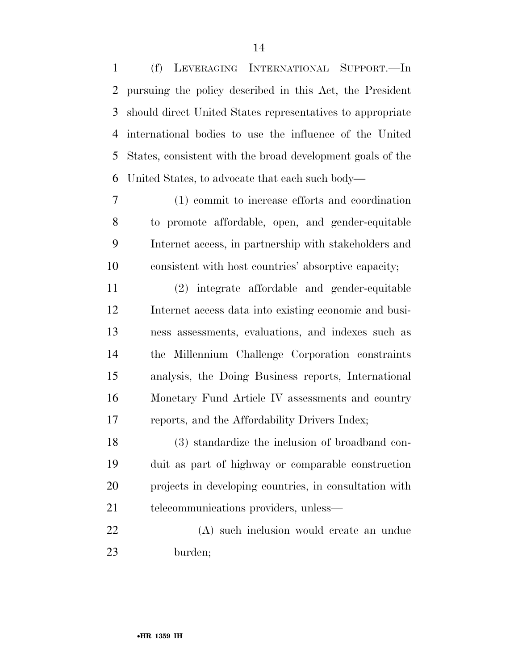(f) LEVERAGING INTERNATIONAL SUPPORT.—In pursuing the policy described in this Act, the President should direct United States representatives to appropriate international bodies to use the influence of the United States, consistent with the broad development goals of the United States, to advocate that each such body—

 (1) commit to increase efforts and coordination to promote affordable, open, and gender-equitable Internet access, in partnership with stakeholders and consistent with host countries' absorptive capacity;

 (2) integrate affordable and gender-equitable Internet access data into existing economic and busi- ness assessments, evaluations, and indexes such as the Millennium Challenge Corporation constraints analysis, the Doing Business reports, International Monetary Fund Article IV assessments and country reports, and the Affordability Drivers Index;

 (3) standardize the inclusion of broadband con- duit as part of highway or comparable construction projects in developing countries, in consultation with 21 telecommunications providers, unless—

 (A) such inclusion would create an undue burden;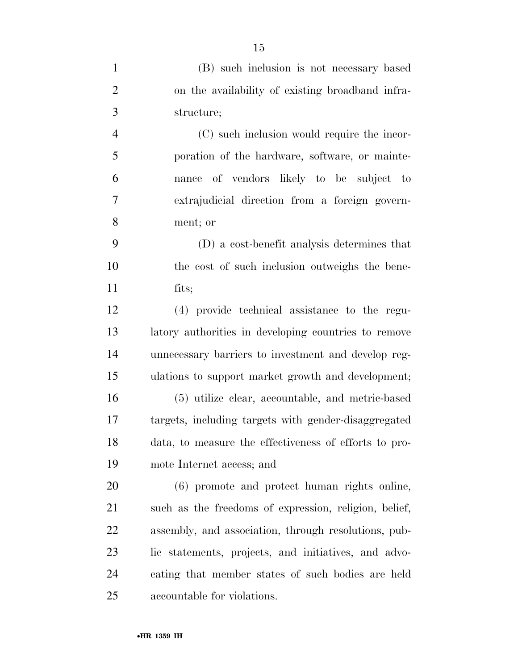| $\mathbf{1}$   | (B) such inclusion is not necessary based             |
|----------------|-------------------------------------------------------|
| $\overline{2}$ | on the availability of existing broadband infra-      |
| 3              | structure;                                            |
| $\overline{4}$ | (C) such inclusion would require the incor-           |
| 5              | poration of the hardware, software, or mainte-        |
| 6              | nance of vendors likely to be subject to              |
| $\overline{7}$ | extrajudicial direction from a foreign govern-        |
| 8              | ment; or                                              |
| 9              | (D) a cost-benefit analysis determines that           |
| 10             | the cost of such inclusion outweighs the bene-        |
| 11             | fits;                                                 |
| 12             | (4) provide technical assistance to the regu-         |
| 13             | latory authorities in developing countries to remove  |
| 14             | unnecessary barriers to investment and develop reg-   |
| 15             | ulations to support market growth and development;    |
| 16             | (5) utilize clear, accountable, and metric-based      |
| 17             | targets, including targets with gender-disaggregated  |
| 18             | data, to measure the effectiveness of efforts to pro- |
| 19             | mote Internet access; and                             |
| 20             | (6) promote and protect human rights online,          |
| 21             | such as the freedoms of expression, religion, belief, |
| 22             | assembly, and association, through resolutions, pub-  |
| 23             | lic statements, projects, and initiatives, and advo-  |
| 24             | cating that member states of such bodies are held     |
| 25             | accountable for violations.                           |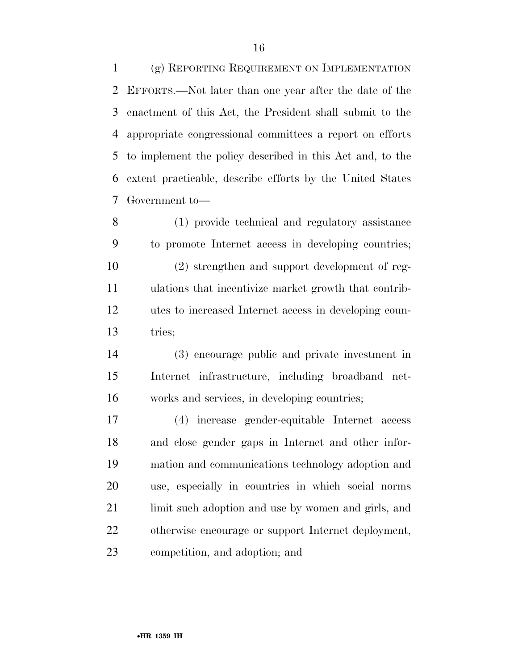(g) REPORTING REQUIREMENT ON IMPLEMENTATION EFFORTS.—Not later than one year after the date of the enactment of this Act, the President shall submit to the appropriate congressional committees a report on efforts to implement the policy described in this Act and, to the extent practicable, describe efforts by the United States Government to—

 (1) provide technical and regulatory assistance to promote Internet access in developing countries; (2) strengthen and support development of reg- ulations that incentivize market growth that contrib- utes to increased Internet access in developing coun-tries;

 (3) encourage public and private investment in Internet infrastructure, including broadband net-works and services, in developing countries;

 (4) increase gender-equitable Internet access and close gender gaps in Internet and other infor- mation and communications technology adoption and use, especially in countries in which social norms limit such adoption and use by women and girls, and otherwise encourage or support Internet deployment, competition, and adoption; and